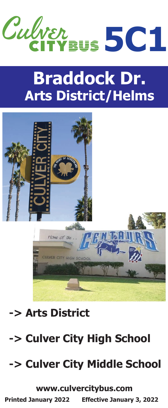

# **Braddock Dr. Arts District/Helms**



### **-> Arts District**

## **-> Culver City High School**

## **-> Culver City Middle School**

**www.culvercitybus.com**

**Printed January 2022 Effective January 3, 2022**